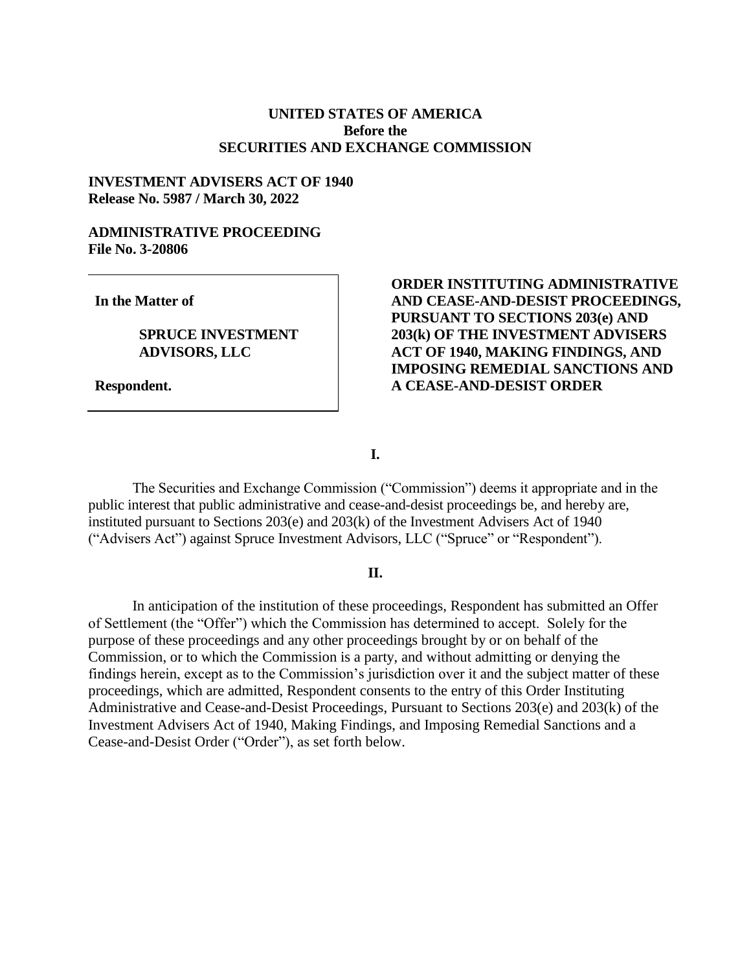### **UNITED STATES OF AMERICA Before the SECURITIES AND EXCHANGE COMMISSION**

### **INVESTMENT ADVISERS ACT OF 1940 Release No. 5987 / March 30, 2022**

## **ADMINISTRATIVE PROCEEDING File No. 3-20806**

**In the Matter of**

### **SPRUCE INVESTMENT ADVISORS, LLC**

**Respondent.**

# **ORDER INSTITUTING ADMINISTRATIVE AND CEASE-AND-DESIST PROCEEDINGS, PURSUANT TO SECTIONS 203(e) AND 203(k) OF THE INVESTMENT ADVISERS ACT OF 1940, MAKING FINDINGS, AND IMPOSING REMEDIAL SANCTIONS AND A CEASE-AND-DESIST ORDER**

**I.**

The Securities and Exchange Commission ("Commission") deems it appropriate and in the public interest that public administrative and cease-and-desist proceedings be, and hereby are, instituted pursuant to Sections 203(e) and 203(k) of the Investment Advisers Act of 1940 ("Advisers Act") against Spruce Investment Advisors, LLC ("Spruce" or "Respondent").

#### **II.**

In anticipation of the institution of these proceedings, Respondent has submitted an Offer of Settlement (the "Offer") which the Commission has determined to accept. Solely for the purpose of these proceedings and any other proceedings brought by or on behalf of the Commission, or to which the Commission is a party, and without admitting or denying the findings herein, except as to the Commission's jurisdiction over it and the subject matter of these proceedings, which are admitted, Respondent consents to the entry of this Order Instituting Administrative and Cease-and-Desist Proceedings, Pursuant to Sections 203(e) and 203(k) of the Investment Advisers Act of 1940, Making Findings, and Imposing Remedial Sanctions and a Cease-and-Desist Order ("Order"), as set forth below.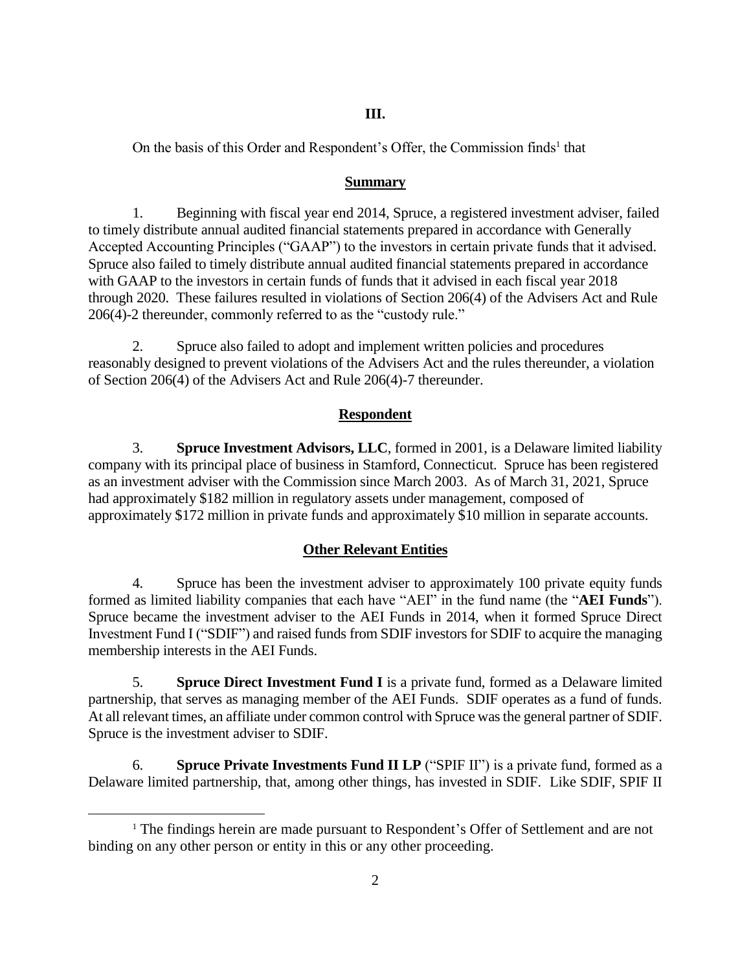## **III.**

On the basis of this Order and Respondent's Offer, the Commission finds<sup>1</sup> that

# **Summary**

1. Beginning with fiscal year end 2014, Spruce, a registered investment adviser, failed to timely distribute annual audited financial statements prepared in accordance with Generally Accepted Accounting Principles ("GAAP") to the investors in certain private funds that it advised. Spruce also failed to timely distribute annual audited financial statements prepared in accordance with GAAP to the investors in certain funds of funds that it advised in each fiscal year 2018 through 2020. These failures resulted in violations of Section 206(4) of the Advisers Act and Rule 206(4)-2 thereunder, commonly referred to as the "custody rule."

2. Spruce also failed to adopt and implement written policies and procedures reasonably designed to prevent violations of the Advisers Act and the rules thereunder, a violation of Section 206(4) of the Advisers Act and Rule 206(4)-7 thereunder.

# **Respondent**

3. **Spruce Investment Advisors, LLC**, formed in 2001, is a Delaware limited liability company with its principal place of business in Stamford, Connecticut. Spruce has been registered as an investment adviser with the Commission since March 2003. As of March 31, 2021, Spruce had approximately \$182 million in regulatory assets under management, composed of approximately \$172 million in private funds and approximately \$10 million in separate accounts.

# **Other Relevant Entities**

4. Spruce has been the investment adviser to approximately 100 private equity funds formed as limited liability companies that each have "AEI" in the fund name (the "**AEI Funds**"). Spruce became the investment adviser to the AEI Funds in 2014, when it formed Spruce Direct Investment Fund I ("SDIF") and raised funds from SDIF investors for SDIF to acquire the managing membership interests in the AEI Funds.

5. **Spruce Direct Investment Fund I** is a private fund, formed as a Delaware limited partnership, that serves as managing member of the AEI Funds. SDIF operates as a fund of funds. At all relevant times, an affiliate under common control with Spruce was the general partner of SDIF. Spruce is the investment adviser to SDIF.

6. **Spruce Private Investments Fund II LP** ("SPIF II") is a private fund, formed as a Delaware limited partnership, that, among other things, has invested in SDIF. Like SDIF, SPIF II

 $\overline{a}$ 

<sup>&</sup>lt;sup>1</sup> The findings herein are made pursuant to Respondent's Offer of Settlement and are not binding on any other person or entity in this or any other proceeding.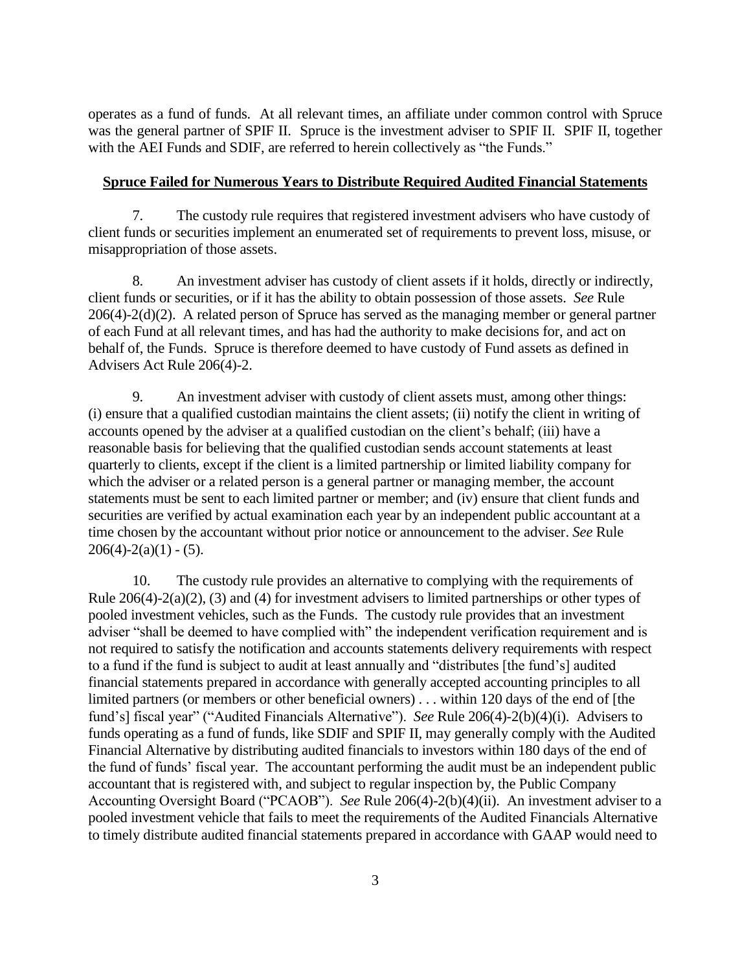operates as a fund of funds. At all relevant times, an affiliate under common control with Spruce was the general partner of SPIF II. Spruce is the investment adviser to SPIF II. SPIF II, together with the AEI Funds and SDIF, are referred to herein collectively as "the Funds."

### **Spruce Failed for Numerous Years to Distribute Required Audited Financial Statements**

7. The custody rule requires that registered investment advisers who have custody of client funds or securities implement an enumerated set of requirements to prevent loss, misuse, or misappropriation of those assets.

8. An investment adviser has custody of client assets if it holds, directly or indirectly, client funds or securities, or if it has the ability to obtain possession of those assets. *See* Rule 206(4)-2(d)(2). A related person of Spruce has served as the managing member or general partner of each Fund at all relevant times, and has had the authority to make decisions for, and act on behalf of, the Funds. Spruce is therefore deemed to have custody of Fund assets as defined in Advisers Act Rule 206(4)-2.

9. An investment adviser with custody of client assets must, among other things: (i) ensure that a qualified custodian maintains the client assets; (ii) notify the client in writing of accounts opened by the adviser at a qualified custodian on the client's behalf; (iii) have a reasonable basis for believing that the qualified custodian sends account statements at least quarterly to clients, except if the client is a limited partnership or limited liability company for which the adviser or a related person is a general partner or managing member, the account statements must be sent to each limited partner or member; and (iv) ensure that client funds and securities are verified by actual examination each year by an independent public accountant at a time chosen by the accountant without prior notice or announcement to the adviser. *See* Rule  $206(4)-2(a)(1) - (5)$ .

10. The custody rule provides an alternative to complying with the requirements of Rule 206(4)-2(a)(2), (3) and (4) for investment advisers to limited partnerships or other types of pooled investment vehicles, such as the Funds. The custody rule provides that an investment adviser "shall be deemed to have complied with" the independent verification requirement and is not required to satisfy the notification and accounts statements delivery requirements with respect to a fund if the fund is subject to audit at least annually and "distributes [the fund's] audited financial statements prepared in accordance with generally accepted accounting principles to all limited partners (or members or other beneficial owners) . . . within 120 days of the end of [the fund's] fiscal year" ("Audited Financials Alternative"). *See* Rule 206(4)-2(b)(4)(i). Advisers to funds operating as a fund of funds, like SDIF and SPIF II, may generally comply with the Audited Financial Alternative by distributing audited financials to investors within 180 days of the end of the fund of funds' fiscal year. The accountant performing the audit must be an independent public accountant that is registered with, and subject to regular inspection by, the Public Company Accounting Oversight Board ("PCAOB"). *See* Rule 206(4)-2(b)(4)(ii). An investment adviser to a pooled investment vehicle that fails to meet the requirements of the Audited Financials Alternative to timely distribute audited financial statements prepared in accordance with GAAP would need to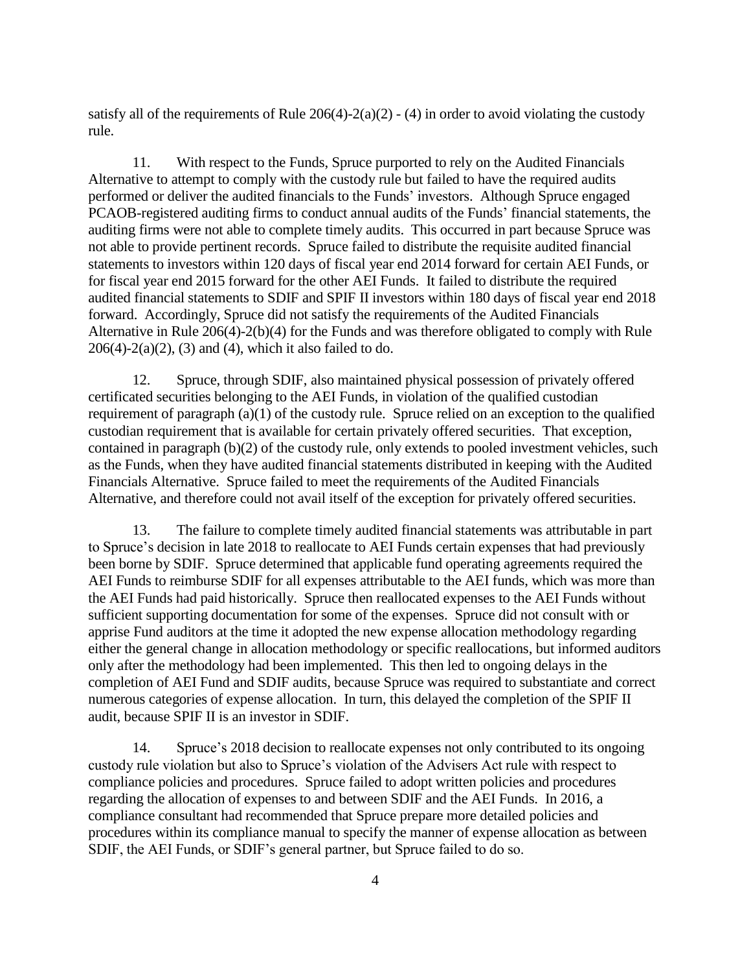satisfy all of the requirements of Rule  $206(4)$ - $2(a)(2)$  - (4) in order to avoid violating the custody rule.

11. With respect to the Funds, Spruce purported to rely on the Audited Financials Alternative to attempt to comply with the custody rule but failed to have the required audits performed or deliver the audited financials to the Funds' investors. Although Spruce engaged PCAOB-registered auditing firms to conduct annual audits of the Funds' financial statements, the auditing firms were not able to complete timely audits. This occurred in part because Spruce was not able to provide pertinent records. Spruce failed to distribute the requisite audited financial statements to investors within 120 days of fiscal year end 2014 forward for certain AEI Funds, or for fiscal year end 2015 forward for the other AEI Funds. It failed to distribute the required audited financial statements to SDIF and SPIF II investors within 180 days of fiscal year end 2018 forward. Accordingly, Spruce did not satisfy the requirements of the Audited Financials Alternative in Rule 206(4)-2(b)(4) for the Funds and was therefore obligated to comply with Rule  $206(4)-2(a)(2)$ , (3) and (4), which it also failed to do.

12. Spruce, through SDIF, also maintained physical possession of privately offered certificated securities belonging to the AEI Funds, in violation of the qualified custodian requirement of paragraph (a)(1) of the custody rule. Spruce relied on an exception to the qualified custodian requirement that is available for certain privately offered securities. That exception, contained in paragraph (b)(2) of the custody rule, only extends to pooled investment vehicles, such as the Funds, when they have audited financial statements distributed in keeping with the Audited Financials Alternative. Spruce failed to meet the requirements of the Audited Financials Alternative, and therefore could not avail itself of the exception for privately offered securities.

13. The failure to complete timely audited financial statements was attributable in part to Spruce's decision in late 2018 to reallocate to AEI Funds certain expenses that had previously been borne by SDIF. Spruce determined that applicable fund operating agreements required the AEI Funds to reimburse SDIF for all expenses attributable to the AEI funds, which was more than the AEI Funds had paid historically. Spruce then reallocated expenses to the AEI Funds without sufficient supporting documentation for some of the expenses. Spruce did not consult with or apprise Fund auditors at the time it adopted the new expense allocation methodology regarding either the general change in allocation methodology or specific reallocations, but informed auditors only after the methodology had been implemented. This then led to ongoing delays in the completion of AEI Fund and SDIF audits, because Spruce was required to substantiate and correct numerous categories of expense allocation. In turn, this delayed the completion of the SPIF II audit, because SPIF II is an investor in SDIF.

14. Spruce's 2018 decision to reallocate expenses not only contributed to its ongoing custody rule violation but also to Spruce's violation of the Advisers Act rule with respect to compliance policies and procedures. Spruce failed to adopt written policies and procedures regarding the allocation of expenses to and between SDIF and the AEI Funds. In 2016, a compliance consultant had recommended that Spruce prepare more detailed policies and procedures within its compliance manual to specify the manner of expense allocation as between SDIF, the AEI Funds, or SDIF's general partner, but Spruce failed to do so.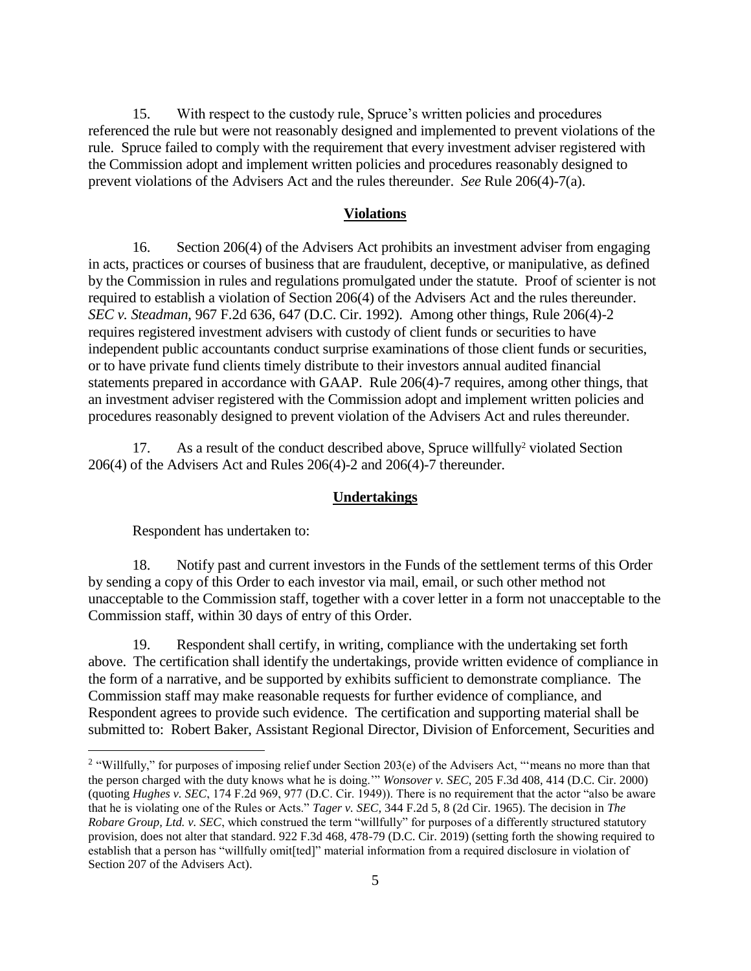15. With respect to the custody rule, Spruce's written policies and procedures referenced the rule but were not reasonably designed and implemented to prevent violations of the rule. Spruce failed to comply with the requirement that every investment adviser registered with the Commission adopt and implement written policies and procedures reasonably designed to prevent violations of the Advisers Act and the rules thereunder. *See* Rule 206(4)-7(a).

#### **Violations**

16. Section 206(4) of the Advisers Act prohibits an investment adviser from engaging in acts, practices or courses of business that are fraudulent, deceptive, or manipulative, as defined by the Commission in rules and regulations promulgated under the statute. Proof of scienter is not required to establish a violation of Section 206(4) of the Advisers Act and the rules thereunder. *SEC v. Steadman*, 967 F.2d 636, 647 (D.C. Cir. 1992). Among other things, Rule 206(4)-2 requires registered investment advisers with custody of client funds or securities to have independent public accountants conduct surprise examinations of those client funds or securities, or to have private fund clients timely distribute to their investors annual audited financial statements prepared in accordance with GAAP. Rule 206(4)-7 requires, among other things, that an investment adviser registered with the Commission adopt and implement written policies and procedures reasonably designed to prevent violation of the Advisers Act and rules thereunder.

17. As a result of the conduct described above, Spruce willfully<sup>2</sup> violated Section 206(4) of the Advisers Act and Rules 206(4)-2 and 206(4)-7 thereunder.

#### **Undertakings**

Respondent has undertaken to:

 $\overline{a}$ 

18. Notify past and current investors in the Funds of the settlement terms of this Order by sending a copy of this Order to each investor via mail, email, or such other method not unacceptable to the Commission staff, together with a cover letter in a form not unacceptable to the Commission staff, within 30 days of entry of this Order.

19. Respondent shall certify, in writing, compliance with the undertaking set forth above. The certification shall identify the undertakings, provide written evidence of compliance in the form of a narrative, and be supported by exhibits sufficient to demonstrate compliance. The Commission staff may make reasonable requests for further evidence of compliance, and Respondent agrees to provide such evidence. The certification and supporting material shall be submitted to: Robert Baker, Assistant Regional Director, Division of Enforcement, Securities and

<sup>&</sup>lt;sup>2</sup> "Willfully," for purposes of imposing relief under Section 203(e) of the Advisers Act, "means no more than that the person charged with the duty knows what he is doing.'" *Wonsover v. SEC*, 205 F.3d 408, 414 (D.C. Cir. 2000) (quoting *Hughes v. SEC*, 174 F.2d 969, 977 (D.C. Cir. 1949)). There is no requirement that the actor "also be aware that he is violating one of the Rules or Acts." *Tager v. SEC*, 344 F.2d 5, 8 (2d Cir. 1965). The decision in *The Robare Group, Ltd. v. SEC*, which construed the term "willfully" for purposes of a differently structured statutory provision, does not alter that standard. 922 F.3d 468, 478-79 (D.C. Cir. 2019) (setting forth the showing required to establish that a person has "willfully omit[ted]" material information from a required disclosure in violation of Section 207 of the Advisers Act).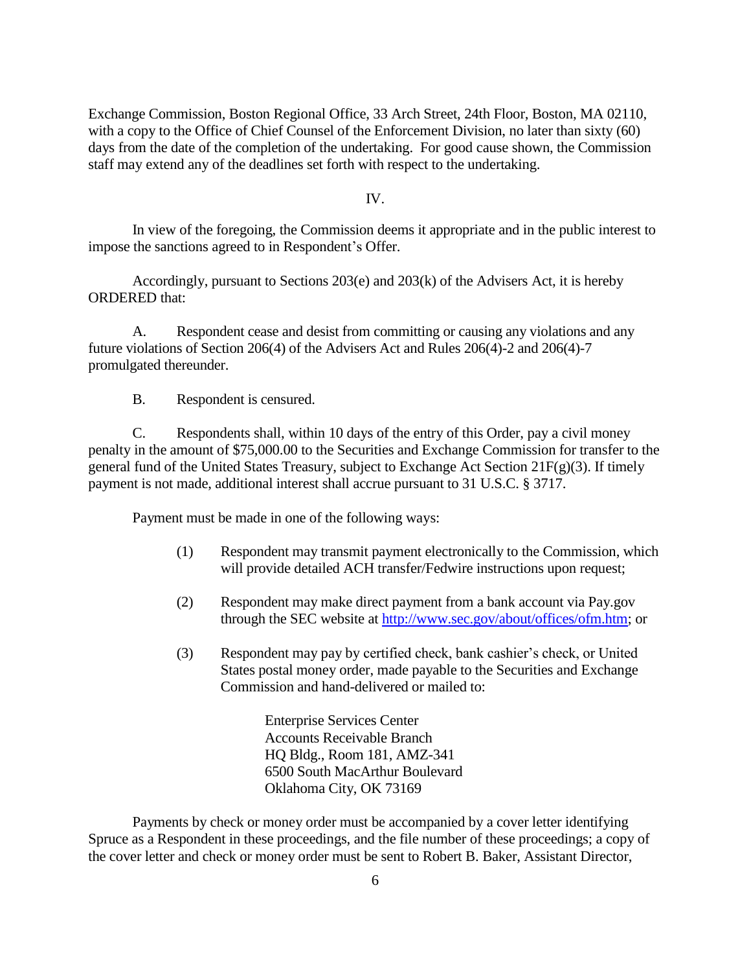Exchange Commission, Boston Regional Office, 33 Arch Street, 24th Floor, Boston, MA 02110, with a copy to the Office of Chief Counsel of the Enforcement Division, no later than sixty (60) days from the date of the completion of the undertaking. For good cause shown, the Commission staff may extend any of the deadlines set forth with respect to the undertaking.

#### IV.

In view of the foregoing, the Commission deems it appropriate and in the public interest to impose the sanctions agreed to in Respondent's Offer.

Accordingly, pursuant to Sections 203(e) and 203(k) of the Advisers Act, it is hereby ORDERED that:

A. Respondent cease and desist from committing or causing any violations and any future violations of Section 206(4) of the Advisers Act and Rules 206(4)-2 and 206(4)-7 promulgated thereunder.

B. Respondent is censured.

C. Respondents shall, within 10 days of the entry of this Order, pay a civil money penalty in the amount of \$75,000.00 to the Securities and Exchange Commission for transfer to the general fund of the United States Treasury, subject to Exchange Act Section 21F(g)(3). If timely payment is not made, additional interest shall accrue pursuant to 31 U.S.C. § 3717.

Payment must be made in one of the following ways:

- (1) Respondent may transmit payment electronically to the Commission, which will provide detailed ACH transfer/Fedwire instructions upon request;
- (2) Respondent may make direct payment from a bank account via Pay.gov through the SEC website at [http://www.sec.gov/about/offices/ofm.htm;](http://www.sec.gov/about/offices/ofm.htm) or
- (3) Respondent may pay by certified check, bank cashier's check, or United States postal money order, made payable to the Securities and Exchange Commission and hand-delivered or mailed to:

Enterprise Services Center Accounts Receivable Branch HQ Bldg., Room 181, AMZ-341 6500 South MacArthur Boulevard Oklahoma City, OK 73169

Payments by check or money order must be accompanied by a cover letter identifying Spruce as a Respondent in these proceedings, and the file number of these proceedings; a copy of the cover letter and check or money order must be sent to Robert B. Baker, Assistant Director,